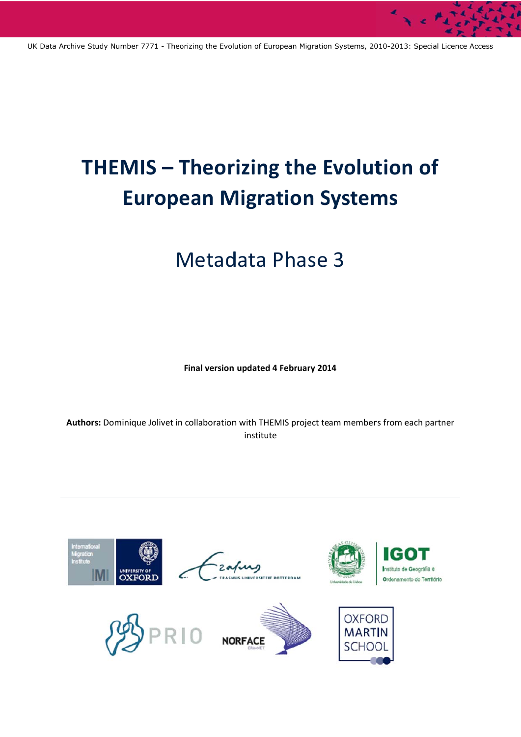UK Data Archive Study Number 7771 - Theorizing the Evolution of European Migration Systems, 2010-2013: Special Licence Access

# THEMIS - Theorizing the Evolution of **European Migration Systems**

# **Metadata Phase 3**

Final version updated 4 February 2014

Authors: Dominique Jolivet in collaboration with THEMIS project team members from each partner institute

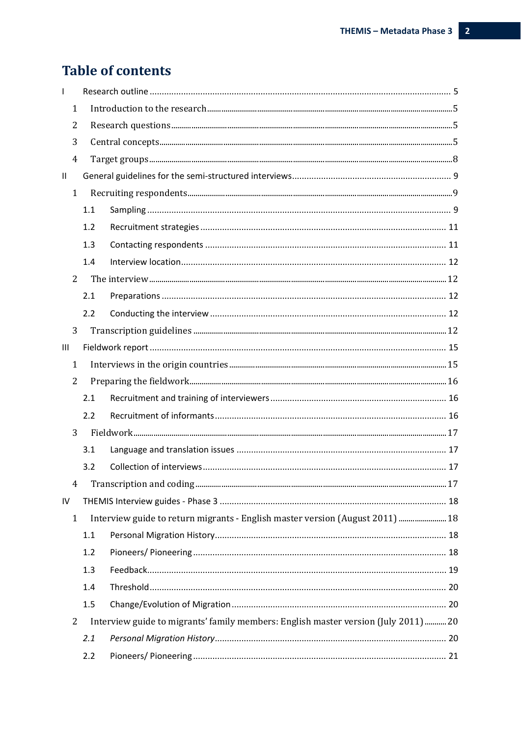## **Table of contents**

| I.             |     |                                                                                     |  |
|----------------|-----|-------------------------------------------------------------------------------------|--|
| $\mathbf{1}$   |     |                                                                                     |  |
| 2              |     |                                                                                     |  |
| 3              |     |                                                                                     |  |
| 4              |     |                                                                                     |  |
| $\sf II$       |     |                                                                                     |  |
| $\mathbf{1}$   |     |                                                                                     |  |
|                | 1.1 |                                                                                     |  |
|                | 1.2 |                                                                                     |  |
|                | 1.3 |                                                                                     |  |
|                | 1.4 |                                                                                     |  |
| 2              |     |                                                                                     |  |
|                | 2.1 |                                                                                     |  |
|                | 2.2 |                                                                                     |  |
| 3              |     |                                                                                     |  |
| $\mathbf{III}$ |     |                                                                                     |  |
| $\mathbf{1}$   |     |                                                                                     |  |
| 2              |     |                                                                                     |  |
|                | 2.1 |                                                                                     |  |
|                | 2.2 |                                                                                     |  |
| 3              |     |                                                                                     |  |
|                | 3.1 |                                                                                     |  |
|                | 3.2 |                                                                                     |  |
| 4              |     |                                                                                     |  |
| ${\sf IV}$     |     |                                                                                     |  |
| $\mathbf{1}$   |     |                                                                                     |  |
|                | 1.1 |                                                                                     |  |
|                | 1.2 |                                                                                     |  |
|                | 1.3 |                                                                                     |  |
|                | 1.4 |                                                                                     |  |
|                | 1.5 |                                                                                     |  |
| 2              |     | Interview guide to migrants' family members: English master version (July 2011)  20 |  |
|                | 2.1 |                                                                                     |  |
|                | 2.2 |                                                                                     |  |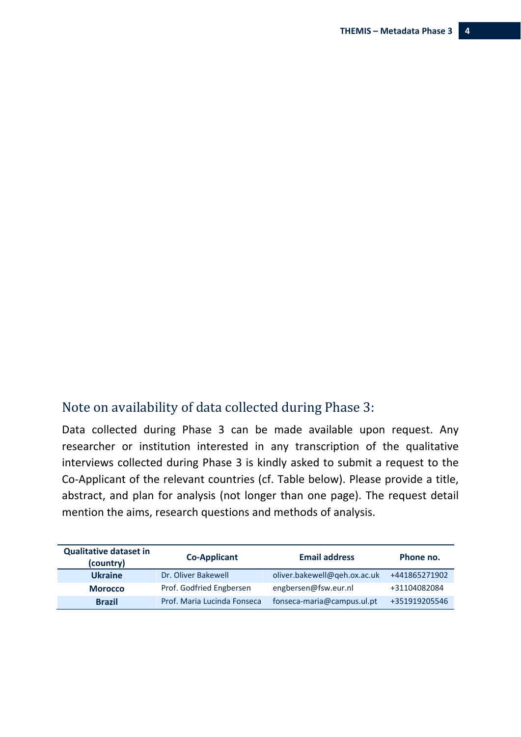## Note on availability of data collected during Phase 3:

Data collected during Phase 3 can be made available upon request. Any researcher or institution interested in any transcription of the qualitative interviews collected during Phase 3 is kindly asked to submit a request to the Co‐Applicant of the relevant countries (cf. Table below). Please provide a title, abstract, and plan for analysis (not longer than one page). The request detail mention the aims, research questions and methods of analysis.

| <b>Qualitative dataset in</b><br>(country) | <b>Co-Applicant</b>         | <b>Email address</b>         | Phone no.     |
|--------------------------------------------|-----------------------------|------------------------------|---------------|
| <b>Ukraine</b>                             | Dr. Oliver Bakewell         | oliver.bakewell@qeh.ox.ac.uk | +441865271902 |
| <b>Morocco</b>                             | Prof. Godfried Engbersen    | engbersen@fsw.eur.nl         | +31104082084  |
| <b>Brazil</b>                              | Prof. Maria Lucinda Fonseca | fonseca-maria@campus.ul.pt   | +351919205546 |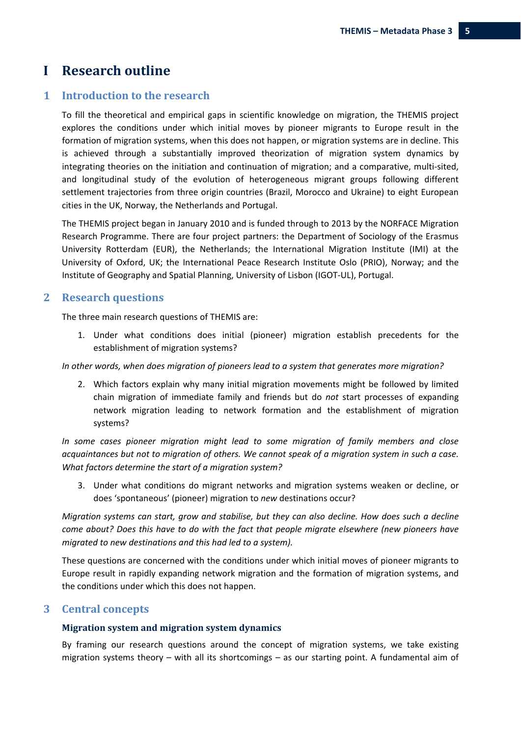## **I Research outline**

### **1 Introduction to the research**

To fill the theoretical and empirical gaps in scientific knowledge on migration, the THEMIS project explores the conditions under which initial moves by pioneer migrants to Europe result in the formation of migration systems, when this does not happen, or migration systems are in decline. This is achieved through a substantially improved theorization of migration system dynamics by integrating theories on the initiation and continuation of migration; and a comparative, multi-sited, and longitudinal study of the evolution of heterogeneous migrant groups following different settlement trajectories from three origin countries (Brazil, Morocco and Ukraine) to eight European cities in the UK, Norway, the Netherlands and Portugal.

The THEMIS project began in January 2010 and is funded through to 2013 by the NORFACE Migration Research Programme. There are four project partners: the Department of Sociology of the Erasmus University Rotterdam (EUR), the Netherlands; the International Migration Institute (IMI) at the University of Oxford, UK; the International Peace Research Institute Oslo (PRIO), Norway; and the Institute of Geography and Spatial Planning, University of Lisbon (IGOT‐UL), Portugal.

#### **2 Research questions**

The three main research questions of THEMIS are:

1. Under what conditions does initial (pioneer) migration establish precedents for the establishment of migration systems?

#### *In other words, when does migration of pioneers lead to a system that generates more migration?*

2. Which factors explain why many initial migration movements might be followed by limited chain migration of immediate family and friends but do *not* start processes of expanding network migration leading to network formation and the establishment of migration systems?

*In some cases pioneer migration might lead to some migration of family members and close* acquaintances but not to migration of others. We cannot speak of a migration system in such a case. *What factors determine the start of a migration system?* 

3. Under what conditions do migrant networks and migration systems weaken or decline, or does 'spontaneous' (pioneer) migration to *new* destinations occur?

*Migration systems can start, grow and stabilise, but they can also decline. How does such a decline come about? Does this have to do with the fact that people migrate elsewhere (new pioneers have migrated to new destinations and this had led to a system).* 

These questions are concerned with the conditions under which initial moves of pioneer migrants to Europe result in rapidly expanding network migration and the formation of migration systems, and the conditions under which this does not happen.

#### **3 Central concepts**

#### **Migration system and migration system dynamics**

By framing our research questions around the concept of migration systems, we take existing migration systems theory – with all its shortcomings – as our starting point. A fundamental aim of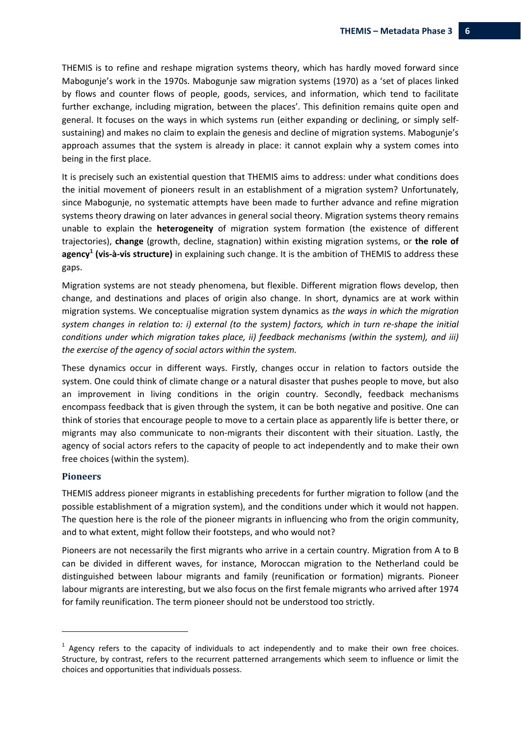THEMIS is to refine and reshape migration systems theory, which has hardly moved forward since Mabogunje's work in the 1970s. Mabogunje saw migration systems (1970) as a 'set of places linked by flows and counter flows of people, goods, services, and information, which tend to facilitate further exchange, including migration, between the places'. This definition remains quite open and general. It focuses on the ways in which systems run (either expanding or declining, or simply self‐ sustaining) and makes no claim to explain the genesis and decline of migration systems. Mabogunje's approach assumes that the system is already in place: it cannot explain why a system comes into being in the first place.

It is precisely such an existential question that THEMIS aims to address: under what conditions does the initial movement of pioneers result in an establishment of a migration system? Unfortunately, since Mabogunje, no systematic attempts have been made to further advance and refine migration systems theory drawing on later advances in general social theory. Migration systems theory remains unable to explain the **heterogeneity** of migration system formation (the existence of different trajectories), **change** (growth, decline, stagnation) within existing migration systems, or **the role of agency<sup>1</sup> (vis‐à‐vis structure)** in explaining such change. It is the ambition of THEMIS to address these gaps.

Migration systems are not steady phenomena, but flexible. Different migration flows develop, then change, and destinations and places of origin also change. In short, dynamics are at work within migration systems. We conceptualise migration system dynamics as *the ways in which the migration* system changes in relation to: i) external (to the system) factors, which in turn re-shape the initial *conditions under which migration takes place, ii) feedback mechanisms (within the system), and iii) the exercise of the agency of social actors within the system.*

These dynamics occur in different ways. Firstly, changes occur in relation to factors outside the system. One could think of climate change or a natural disaster that pushes people to move, but also an improvement in living conditions in the origin country. Secondly, feedback mechanisms encompass feedback that is given through the system, it can be both negative and positive. One can think of stories that encourage people to move to a certain place as apparently life is better there, or migrants may also communicate to non-migrants their discontent with their situation. Lastly, the agency of social actors refers to the capacity of people to act independently and to make their own free choices (within the system).

#### **Pioneers**

THEMIS address pioneer migrants in establishing precedents for further migration to follow (and the possible establishment of a migration system), and the conditions under which it would not happen. The question here is the role of the pioneer migrants in influencing who from the origin community, and to what extent, might follow their footsteps, and who would not?

Pioneers are not necessarily the first migrants who arrive in a certain country. Migration from A to B can be divided in different waves, for instance, Moroccan migration to the Netherland could be distinguished between labour migrants and family (reunification or formation) migrants. Pioneer labour migrants are interesting, but we also focus on the first female migrants who arrived after 1974 for family reunification. The term pioneer should not be understood too strictly.

 $<sup>1</sup>$  Agency refers to the capacity of individuals to act independently and to make their own free choices.</sup> Structure, by contrast, refers to the recurrent patterned arrangements which seem to influence or limit the choices and opportunities that individuals possess.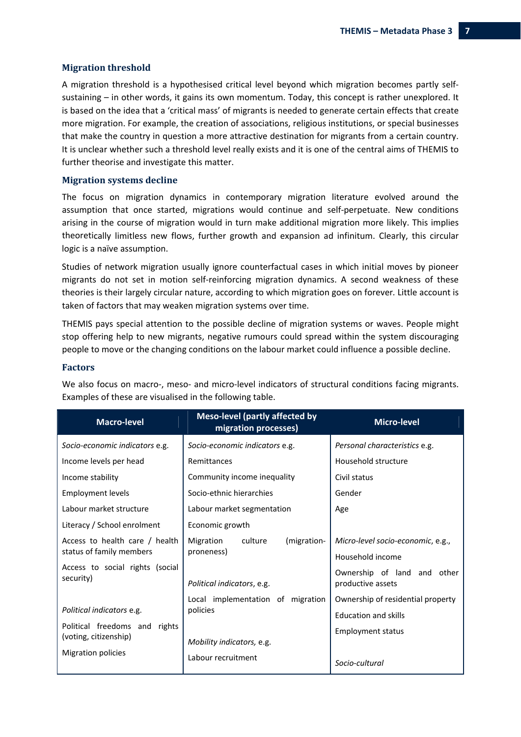#### **Migration threshold**

A migration threshold is a hypothesised critical level beyond which migration becomes partly self‐ sustaining – in other words, it gains its own momentum. Today, this concept is rather unexplored. It is based on the idea that a 'critical mass' of migrants is needed to generate certain effects that create more migration. For example, the creation of associations, religious institutions, or special businesses that make the country in question a more attractive destination for migrants from a certain country. It is unclear whether such a threshold level really exists and it is one of the central aims of THEMIS to further theorise and investigate this matter.

#### **Migration systems decline**

The focus on migration dynamics in contemporary migration literature evolved around the assumption that once started, migrations would continue and self‐perpetuate. New conditions arising in the course of migration would in turn make additional migration more likely. This implies theoretically limitless new flows, further growth and expansion ad infinitum. Clearly, this circular logic is a naïve assumption.

Studies of network migration usually ignore counterfactual cases in which initial moves by pioneer migrants do not set in motion self‐reinforcing migration dynamics. A second weakness of these theories is their largely circular nature, according to which migration goes on forever*.* Little account is taken of factors that may weaken migration systems over time.

THEMIS pays special attention to the possible decline of migration systems or waves. People might stop offering help to new migrants, negative rumours could spread within the system discouraging people to move or the changing conditions on the labour market could influence a possible decline.

#### **Factors**

| <b>Macro-level</b>                                                                  | <b>Meso-level (partly affected by</b><br>migration processes) | <b>Micro-level</b>                                               |  |
|-------------------------------------------------------------------------------------|---------------------------------------------------------------|------------------------------------------------------------------|--|
| Socio-economic indicators e.g.                                                      | Socio-economic indicators e.g.                                | Personal characteristics e.g.                                    |  |
| Income levels per head                                                              | Remittances                                                   | Household structure                                              |  |
| Income stability                                                                    | Community income inequality                                   | Civil status                                                     |  |
| <b>Employment levels</b>                                                            | Socio-ethnic hierarchies                                      | Gender                                                           |  |
| Labour market structure                                                             | Labour market segmentation                                    | Age                                                              |  |
| Literacy / School enrolment                                                         | Economic growth                                               |                                                                  |  |
| Access to health care / health<br>status of family members                          | Migration<br>culture<br>(migration-<br>proneness)             | Micro-level socio-economic, e.g.,<br>Household income            |  |
| Access to social rights (social<br>security)                                        | Political indicators, e.g.                                    | Ownership of land and other<br>productive assets                 |  |
| Political indicators e.g.                                                           | Local implementation of migration<br>policies                 | Ownership of residential property<br><b>Education and skills</b> |  |
| Political freedoms and rights<br>(voting, citizenship)<br><b>Migration policies</b> | Mobility indicators, e.g.                                     | <b>Employment status</b>                                         |  |
|                                                                                     | Labour recruitment                                            | Socio-cultural                                                   |  |

We also focus on macro-, meso- and micro-level indicators of structural conditions facing migrants. Examples of these are visualised in the following table.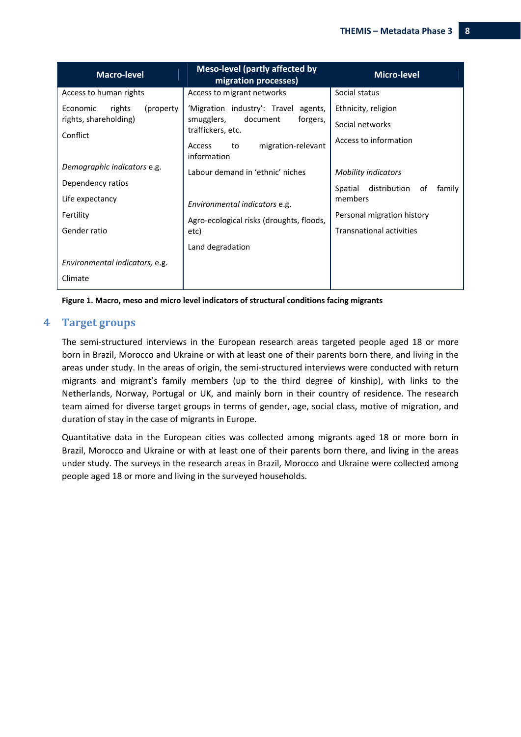| <b>Macro-level</b>               | <b>Meso-level (partly affected by</b><br>migration processes) | <b>Micro-level</b>                    |  |
|----------------------------------|---------------------------------------------------------------|---------------------------------------|--|
| Access to human rights           | Access to migrant networks                                    | Social status                         |  |
| (property)<br>Economic<br>rights | 'Migration industry': Travel agents,                          | Ethnicity, religion                   |  |
| rights, shareholding)            | document<br>forgers,<br>smugglers,<br>traffickers, etc.       | Social networks                       |  |
| Conflict                         | migration-relevant<br>Access<br>to<br>information             | Access to information                 |  |
| Demographic indicators e.g.      | Labour demand in 'ethnic' niches                              | <b>Mobility indicators</b>            |  |
| Dependency ratios                |                                                               | distribution of<br>family<br>Spatial  |  |
| Life expectancy                  | Environmental indicators e.g.                                 | members<br>Personal migration history |  |
| Fertility                        | Agro-ecological risks (droughts, floods,                      |                                       |  |
| Gender ratio                     | etc)                                                          | <b>Transnational activities</b>       |  |
|                                  | Land degradation                                              |                                       |  |
| Environmental indicators, e.g.   |                                                               |                                       |  |
| Climate                          |                                                               |                                       |  |

**Figure 1. Macro, meso and micro level indicators of structural conditions facing migrants** 

#### **4 Target groups**

The semi-structured interviews in the European research areas targeted people aged 18 or more born in Brazil, Morocco and Ukraine or with at least one of their parents born there, and living in the areas under study. In the areas of origin, the semi‐structured interviews were conducted with return migrants and migrant's family members (up to the third degree of kinship), with links to the Netherlands, Norway, Portugal or UK, and mainly born in their country of residence. The research team aimed for diverse target groups in terms of gender, age, social class, motive of migration, and duration of stay in the case of migrants in Europe.

Quantitative data in the European cities was collected among migrants aged 18 or more born in Brazil, Morocco and Ukraine or with at least one of their parents born there, and living in the areas under study. The surveys in the research areas in Brazil, Morocco and Ukraine were collected among people aged 18 or more and living in the surveyed households.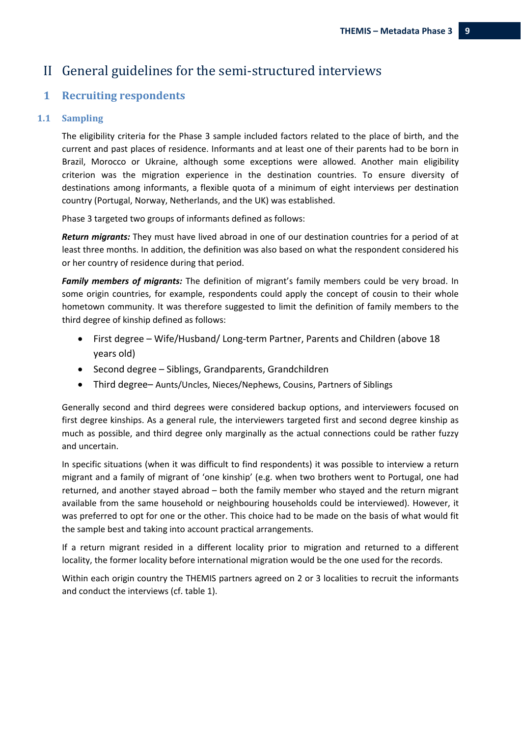## II General guidelines for the semi-structured interviews

### **1 Recruiting respondents**

#### 1.1 **Sampling**

The eligibility criteria for the Phase 3 sample included factors related to the place of birth, and the current and past places of residence. Informants and at least one of their parents had to be born in Brazil, Morocco or Ukraine, although some exceptions were allowed. Another main eligibility criterion was the migration experience in the destination countries. To ensure diversity of destinations among informants, a flexible quota of a minimum of eight interviews per destination country (Portugal, Norway, Netherlands, and the UK) was established.

Phase 3 targeted two groups of informants defined as follows:

*Return migrants:* They must have lived abroad in one of our destination countries for a period of at least three months. In addition, the definition was also based on what the respondent considered his or her country of residence during that period.

*Family members of migrants:* The definition of migrant's family members could be very broad. In some origin countries, for example, respondents could apply the concept of cousin to their whole hometown community. It was therefore suggested to limit the definition of family members to the third degree of kinship defined as follows:

- First degree Wife/Husband/ Long‐term Partner, Parents and Children (above 18 years old)
- Second degree Siblings, Grandparents, Grandchildren
- Third degree– Aunts/Uncles, Nieces/Nephews, Cousins, Partners of Siblings

Generally second and third degrees were considered backup options, and interviewers focused on first degree kinships. As a general rule, the interviewers targeted first and second degree kinship as much as possible, and third degree only marginally as the actual connections could be rather fuzzy and uncertain.

In specific situations (when it was difficult to find respondents) it was possible to interview a return migrant and a family of migrant of 'one kinship' (e.g. when two brothers went to Portugal, one had returned, and another stayed abroad – both the family member who stayed and the return migrant available from the same household or neighbouring households could be interviewed). However, it was preferred to opt for one or the other. This choice had to be made on the basis of what would fit the sample best and taking into account practical arrangements.

If a return migrant resided in a different locality prior to migration and returned to a different locality, the former locality before international migration would be the one used for the records.

Within each origin country the THEMIS partners agreed on 2 or 3 localities to recruit the informants and conduct the interviews (cf. table 1).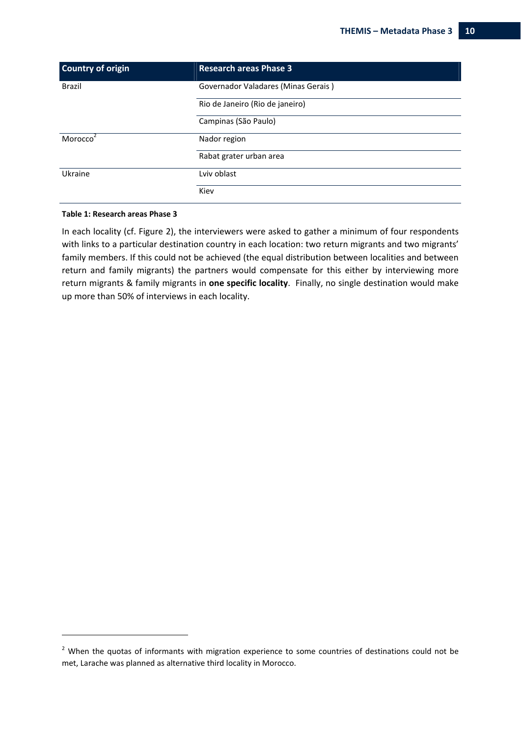| <b>Country of origin</b> | <b>Research areas Phase 3</b>       |  |  |
|--------------------------|-------------------------------------|--|--|
| <b>Brazil</b>            | Governador Valadares (Minas Gerais) |  |  |
|                          | Rio de Janeiro (Rio de janeiro)     |  |  |
|                          | Campinas (São Paulo)                |  |  |
| Morocco                  | Nador region                        |  |  |
|                          | Rabat grater urban area             |  |  |
| Ukraine                  | Lviv oblast                         |  |  |
|                          | Kiev                                |  |  |

#### **Table 1: Research areas Phase 3**

In each locality (cf. Figure 2), the interviewers were asked to gather a minimum of four respondents with links to a particular destination country in each location: two return migrants and two migrants' family members. If this could not be achieved (the equal distribution between localities and between return and family migrants) the partners would compensate for this either by interviewing more return migrants & family migrants in **one specific locality**. Finally, no single destination would make up more than 50% of interviews in each locality.

 $2$  When the quotas of informants with migration experience to some countries of destinations could not be met, Larache was planned as alternative third locality in Morocco.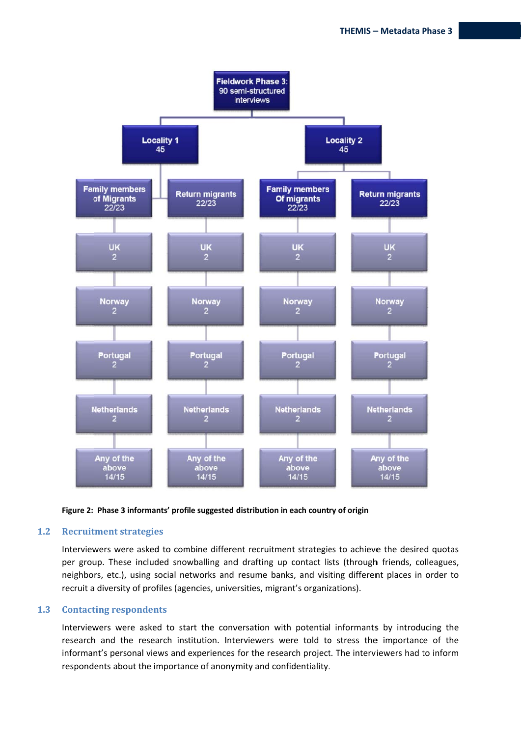



#### $1.2$ **Recruitment strategies**

Interviewers were asked to combine different recruitment strategies to achieve the desired quotas per group. These included snowballing and drafting up contact lists (through friends, colleagues, neighbors, etc.), using social networks and resume banks, and visiting different places in order to recruit a diversity of profiles (agencies, universities, migrant's organizations).

#### $1.3$ **Contacting respondents**

Interviewers were asked to start the conversation with potential informants by introducing the research and the research institution. Interviewers were told to stress the importance of the informant's personal views and experiences for the research project. The interviewers had to inform respondents about the importance of anonymity and confidentiality.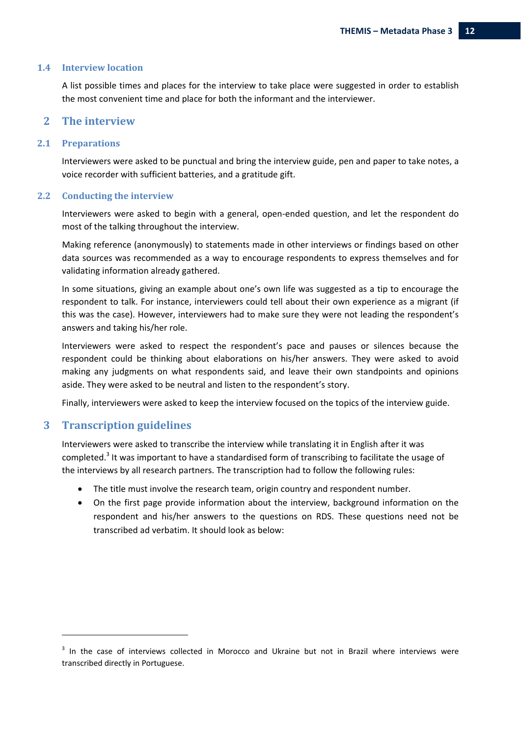#### **1.4 Interview location**

A list possible times and places for the interview to take place were suggested in order to establish the most convenient time and place for both the informant and the interviewer.

#### **2 The interview**

#### **2.1 Preparations**

Interviewers were asked to be punctual and bring the interview guide, pen and paper to take notes, a voice recorder with sufficient batteries, and a gratitude gift.

#### **2.2 Conducting the interview**

Interviewers were asked to begin with a general, open‐ended question, and let the respondent do most of the talking throughout the interview.

Making reference (anonymously) to statements made in other interviews or findings based on other data sources was recommended as a way to encourage respondents to express themselves and for validating information already gathered.

In some situations, giving an example about one's own life was suggested as a tip to encourage the respondent to talk. For instance, interviewers could tell about their own experience as a migrant (if this was the case). However, interviewers had to make sure they were not leading the respondent's answers and taking his/her role.

Interviewers were asked to respect the respondent's pace and pauses or silences because the respondent could be thinking about elaborations on his/her answers. They were asked to avoid making any judgments on what respondents said, and leave their own standpoints and opinions aside. They were asked to be neutral and listen to the respondent's story.

Finally, interviewers were asked to keep the interview focused on the topics of the interview guide.

#### **3 Transcription guidelines**

Interviewers were asked to transcribe the interview while translating it in English after it was completed.<sup>3</sup> It was important to have a standardised form of transcribing to facilitate the usage of the interviews by all research partners. The transcription had to follow the following rules:

- The title must involve the research team, origin country and respondent number.
- On the first page provide information about the interview, background information on the respondent and his/her answers to the questions on RDS. These questions need not be transcribed ad verbatim. It should look as below:

<sup>&</sup>lt;sup>3</sup> In the case of interviews collected in Morocco and Ukraine but not in Brazil where interviews were transcribed directly in Portuguese.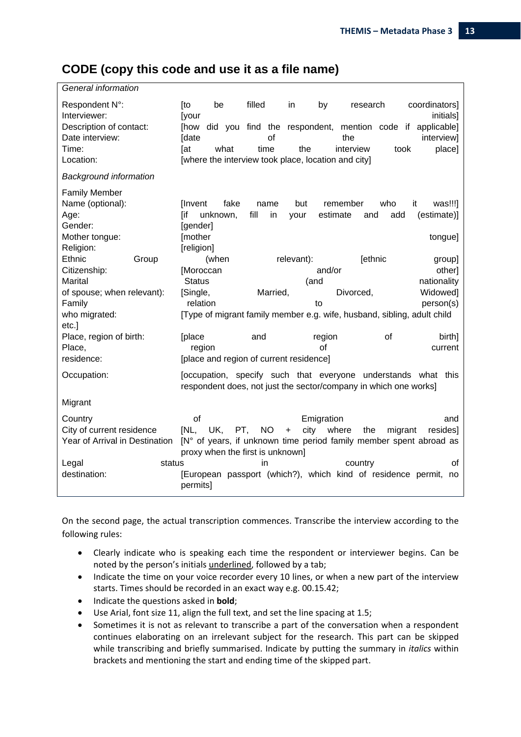## **CODE (copy this code and use it as a file name)**

| General information            |                                                     |            |                   |                 |                                                                                                                                   |
|--------------------------------|-----------------------------------------------------|------------|-------------------|-----------------|-----------------------------------------------------------------------------------------------------------------------------------|
| Respondent N°:<br>Interviewer: | [to<br>be<br><b>[your</b>                           | filled     | in                | by<br>research  | coordinators]<br>initials]                                                                                                        |
| Description of contact:        | [how                                                |            |                   |                 | did you find the respondent, mention code if applicable]                                                                          |
| Date interview:                | [date                                               | of         |                   | the             | interview]                                                                                                                        |
| Time:                          | [at<br>what                                         | time       | the               | interview       | place]<br>took                                                                                                                    |
| Location:                      | [where the interview took place, location and city] |            |                   |                 |                                                                                                                                   |
| <b>Background information</b>  |                                                     |            |                   |                 |                                                                                                                                   |
| <b>Family Member</b>           |                                                     |            |                   |                 |                                                                                                                                   |
| Name (optional):               | fake<br><b>I</b> nvent                              | name       | but               | remember        | who<br>it<br>was!!!]                                                                                                              |
| Age:                           | [if<br>unknown,                                     | fill<br>in | your              | estimate<br>and | add<br>(estimate)]                                                                                                                |
| Gender:                        | [gender]                                            |            |                   |                 |                                                                                                                                   |
| Mother tongue:                 | [mother                                             |            |                   |                 | tongue]                                                                                                                           |
| Religion:                      | [religion]                                          |            |                   |                 |                                                                                                                                   |
| Ethnic<br>Group                | (when                                               |            | relevant):        | [ethnic         | group]                                                                                                                            |
| Citizenship:                   | [Moroccan                                           |            |                   | and/or          | other]                                                                                                                            |
| Marital                        | <b>Status</b>                                       |            | (and              |                 | nationality                                                                                                                       |
| of spouse; when relevant):     | [Single,                                            | Married,   |                   | Divorced,       | Widowed]                                                                                                                          |
| Family                         | relation                                            |            |                   | to              | person(s)                                                                                                                         |
| who migrated:                  |                                                     |            |                   |                 | [Type of migrant family member e.g. wife, husband, sibling, adult child                                                           |
| etc.]                          |                                                     |            |                   |                 |                                                                                                                                   |
| Place, region of birth:        | [place                                              | and        |                   | region          | οf<br>birth]                                                                                                                      |
| Place,                         | region                                              |            |                   | οf              | current                                                                                                                           |
| residence:                     | [place and region of current residence]             |            |                   |                 |                                                                                                                                   |
| Occupation:                    |                                                     |            |                   |                 | [occupation, specify such that everyone understands what this<br>respondent does, not just the sector/company in which one works] |
| Migrant                        |                                                     |            |                   |                 |                                                                                                                                   |
| Country                        | of                                                  |            |                   | Emigration      | and                                                                                                                               |
| City of current residence      | [NL,<br>UK.<br>PT,                                  | <b>NO</b>  | city<br>$\ddot{}$ | where<br>the    | migrant<br>resides]                                                                                                               |
| Year of Arrival in Destination |                                                     |            |                   |                 | [N° of years, if unknown time period family member spent abroad as                                                                |
|                                | proxy when the first is unknown]                    |            |                   |                 |                                                                                                                                   |
| status<br>Legal                |                                                     | in         |                   | country         | οf                                                                                                                                |
| destination:                   | permits]                                            |            |                   |                 | [European passport (which?), which kind of residence permit,<br>no                                                                |

On the second page, the actual transcription commences. Transcribe the interview according to the following rules:

- Clearly indicate who is speaking each time the respondent or interviewer begins. Can be noted by the person's initials underlined, followed by a tab;
- Indicate the time on your voice recorder every 10 lines, or when a new part of the interview starts. Times should be recorded in an exact way e.g. 00.15.42;
- Indicate the questions asked in **bold**;
- Use Arial, font size 11, align the full text, and set the line spacing at 1.5;
- Sometimes it is not as relevant to transcribe a part of the conversation when a respondent continues elaborating on an irrelevant subject for the research. This part can be skipped while transcribing and briefly summarised. Indicate by putting the summary in *italics* within brackets and mentioning the start and ending time of the skipped part.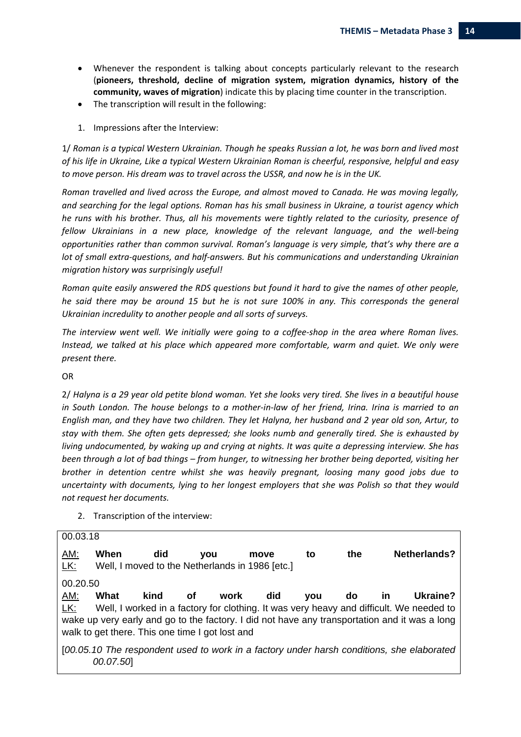- Whenever the respondent is talking about concepts particularly relevant to the research (**pioneers, threshold, decline of migration system, migration dynamics, history of the community, waves of migration**) indicate this by placing time counter in the transcription.
- The transcription will result in the following:
- 1. Impressions after the Interview:

1/ Roman is a typical Western Ukrainian. Though he speaks Russian a lot, he was born and lived most *of his life in Ukraine, Like a typical Western Ukrainian Roman is cheerful, responsive, helpful and easy to move person. His dream was to travel across the USSR, and now he is in the UK.*

*Roman travelled and lived across the Europe, and almost moved to Canada. He was moving legally, and searching for the legal options. Roman has his small business in Ukraine, a tourist agency which he runs with his brother. Thus, all his movements were tightly related to the curiosity, presence of fellow Ukrainians in a new place, knowledge of the relevant language, and the well‐being opportunities rather than common survival. Roman's language is very simple, that's why there are a lot of small extra‐questions, and half‐answers. But his communications and understanding Ukrainian migration history was surprisingly useful!*

*Roman quite easily answered the RDS questions but found it hard to give the names of other people, he said there may be around 15 but he is not sure 100% in any. This corresponds the general Ukrainian incredulity to another people and all sorts of surveys.*

The interview went well. We initially were going to a coffee-shop in the area where Roman lives. *Instead, we talked at his place which appeared more comfortable, warm and quiet. We only were present there.*

OR

2/ Halyna is a 29 year old petite blond woman. Yet she looks very tired. She lives in a beautiful house in South London. The house belongs to a mother-in-law of her friend, Irina. Irina is married to an English man, and they have two children. They let Halyna, her husband and 2 year old son, Artur, to *stay with them. She often gets depressed; she looks numb and generally tired. She is exhausted by living undocumented, by waking up and crying at nights. It was quite a depressing interview. She has* been through a lot of bad things – from hunger, to witnessing her brother being deported, visiting her *brother in detention centre whilst she was heavily pregnant, loosing many good jobs due to uncertainty with documents, lying to her longest employers that she was Polish so that they would not request her documents.*

2. Transcription of the interview:

AM: **When did you move to the Netherlands?** LK: Well, I moved to the Netherlands in 1986 [etc.] 00.20.50 AM: **What kind of work did you do in Ukraine?** LK: Well, I worked in a factory for clothing. It was very heavy and difficult. We needed to wake up very early and go to the factory. I did not have any transportation and it was a long walk to get there. This one time I got lost and [*00.05.10 The respondent used to work in a factory under harsh conditions, she elaborated 00.07.50*]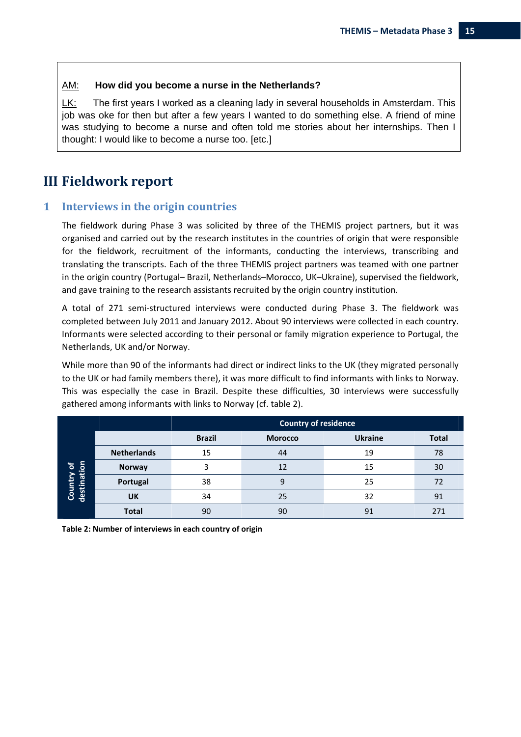#### AM: **How did you become a nurse in the Netherlands?**

LK: The first years I worked as a cleaning lady in several households in Amsterdam. This job was oke for then but after a few years I wanted to do something else. A friend of mine was studying to become a nurse and often told me stories about her internships. Then I thought: I would like to become a nurse too. [etc.]

## **III Fieldwork report**

#### **1 Interviews in the origin countries**

The fieldwork during Phase 3 was solicited by three of the THEMIS project partners, but it was organised and carried out by the research institutes in the countries of origin that were responsible for the fieldwork, recruitment of the informants, conducting the interviews, transcribing and translating the transcripts. Each of the three THEMIS project partners was teamed with one partner in the origin country (Portugal– Brazil, Netherlands–Morocco, UK–Ukraine), supervised the fieldwork, and gave training to the research assistants recruited by the origin country institution.

A total of 271 semi‐structured interviews were conducted during Phase 3. The fieldwork was completed between July 2011 and January 2012. About 90 interviews were collected in each country. Informants were selected according to their personal or family migration experience to Portugal, the Netherlands, UK and/or Norway.

While more than 90 of the informants had direct or indirect links to the UK (they migrated personally to the UK or had family members there), it was more difficult to find informants with links to Norway. This was especially the case in Brazil. Despite these difficulties, 30 interviews were successfully gathered among informants with links to Norway (cf. table 2).

|                           |                    | Country of residence |                |                |              |
|---------------------------|--------------------|----------------------|----------------|----------------|--------------|
|                           |                    | <b>Brazil</b>        | <b>Morocco</b> | <b>Ukraine</b> | <b>Total</b> |
|                           | <b>Netherlands</b> | 15                   | 44             | 19             | 78           |
|                           | <b>Norway</b>      | 3                    | 12             | 15             | 30           |
| Country of<br>destination | Portugal           | 38                   | 9              | 25             | 72           |
|                           | UK                 | 34                   | 25             | 32             | 91           |
|                           | <b>Total</b>       | 90                   | 90             | 91             | 271          |

**Table 2: Number of interviews in each country of origin**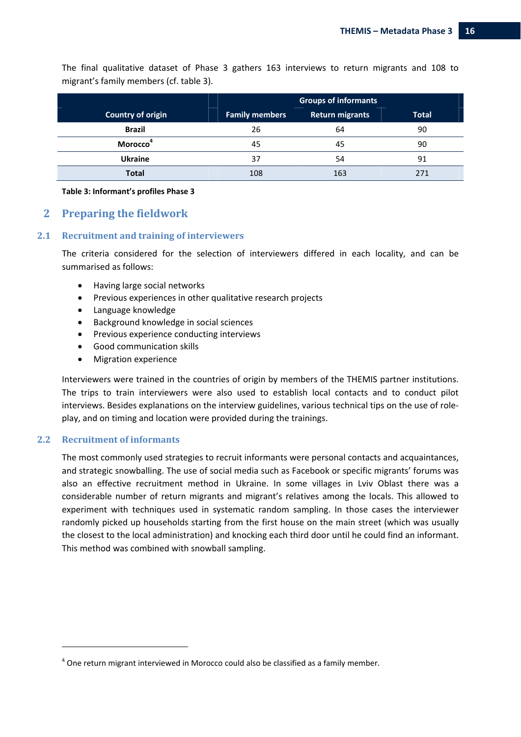The final qualitative dataset of Phase 3 gathers 163 interviews to return migrants and 108 to migrant's family members (cf. table 3).

|                             | <b>Groups of informants</b> |                        |              |  |
|-----------------------------|-----------------------------|------------------------|--------------|--|
| Country of origin           | <b>Family members</b>       | <b>Return migrants</b> | <b>Total</b> |  |
| <b>Brazil</b>               | 26                          | 64                     | 90           |  |
| <b>Morocco</b> <sup>4</sup> | 45                          | 45                     | 90           |  |
| <b>Ukraine</b>              | 37                          | 54                     | 91           |  |
| <b>Total</b>                | 108                         | 163                    | 271          |  |

#### **Table 3: Informant's profiles Phase 3**

#### **2 Preparing the fieldwork**

#### **2.1 Recruitment and training of interviewers**

The criteria considered for the selection of interviewers differed in each locality, and can be summarised as follows:

- Having large social networks
- Previous experiences in other qualitative research projects
- Language knowledge
- Background knowledge in social sciences
- Previous experience conducting interviews
- Good communication skills
- Migration experience

Interviewers were trained in the countries of origin by members of the THEMIS partner institutions. The trips to train interviewers were also used to establish local contacts and to conduct pilot interviews. Besides explanations on the interview guidelines, various technical tips on the use of role‐ play, and on timing and location were provided during the trainings.

#### **2.2 Recruitment of informants**

The most commonly used strategies to recruit informants were personal contacts and acquaintances, and strategic snowballing. The use of social media such as Facebook or specific migrants' forums was also an effective recruitment method in Ukraine. In some villages in Lviv Oblast there was a considerable number of return migrants and migrant's relatives among the locals. This allowed to experiment with techniques used in systematic random sampling. In those cases the interviewer randomly picked up households starting from the first house on the main street (which was usually the closest to the local administration) and knocking each third door until he could find an informant. This method was combined with snowball sampling.

 $4$  One return migrant interviewed in Morocco could also be classified as a family member.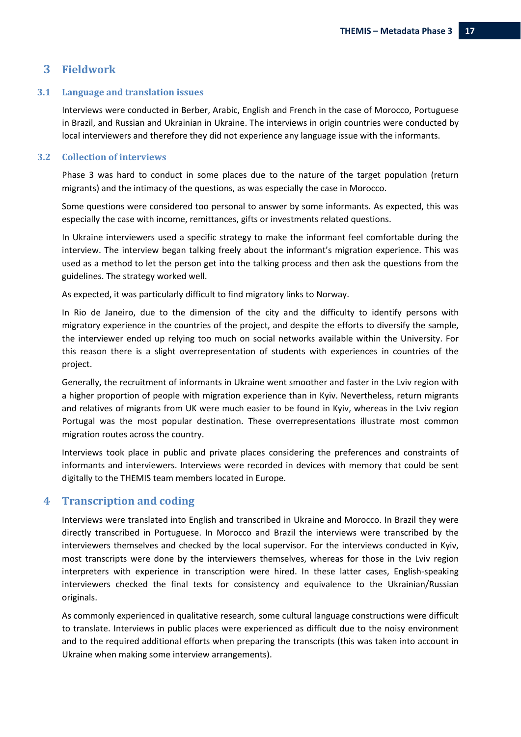#### **3 Fieldwork**

#### **3.1 Language and translation issues**

Interviews were conducted in Berber, Arabic, English and French in the case of Morocco, Portuguese in Brazil, and Russian and Ukrainian in Ukraine. The interviews in origin countries were conducted by local interviewers and therefore they did not experience any language issue with the informants.

#### **3.2 Collection of interviews**

Phase 3 was hard to conduct in some places due to the nature of the target population (return migrants) and the intimacy of the questions, as was especially the case in Morocco.

Some questions were considered too personal to answer by some informants. As expected, this was especially the case with income, remittances, gifts or investments related questions.

In Ukraine interviewers used a specific strategy to make the informant feel comfortable during the interview. The interview began talking freely about the informant's migration experience. This was used as a method to let the person get into the talking process and then ask the questions from the guidelines. The strategy worked well.

As expected, it was particularly difficult to find migratory links to Norway.

In Rio de Janeiro, due to the dimension of the city and the difficulty to identify persons with migratory experience in the countries of the project, and despite the efforts to diversify the sample, the interviewer ended up relying too much on social networks available within the University. For this reason there is a slight overrepresentation of students with experiences in countries of the project.

Generally, the recruitment of informants in Ukraine went smoother and faster in the Lviv region with a higher proportion of people with migration experience than in Kyiv. Nevertheless, return migrants and relatives of migrants from UK were much easier to be found in Kyiv, whereas in the Lviv region Portugal was the most popular destination. These overrepresentations illustrate most common migration routes across the country.

Interviews took place in public and private places considering the preferences and constraints of informants and interviewers. Interviews were recorded in devices with memory that could be sent digitally to the THEMIS team members located in Europe.

#### **4 Transcription and coding**

Interviews were translated into English and transcribed in Ukraine and Morocco. In Brazil they were directly transcribed in Portuguese. In Morocco and Brazil the interviews were transcribed by the interviewers themselves and checked by the local supervisor. For the interviews conducted in Kyiv, most transcripts were done by the interviewers themselves, whereas for those in the Lviv region interpreters with experience in transcription were hired. In these latter cases, English-speaking interviewers checked the final texts for consistency and equivalence to the Ukrainian/Russian originals.

As commonly experienced in qualitative research, some cultural language constructions were difficult to translate. Interviews in public places were experienced as difficult due to the noisy environment and to the required additional efforts when preparing the transcripts (this was taken into account in Ukraine when making some interview arrangements).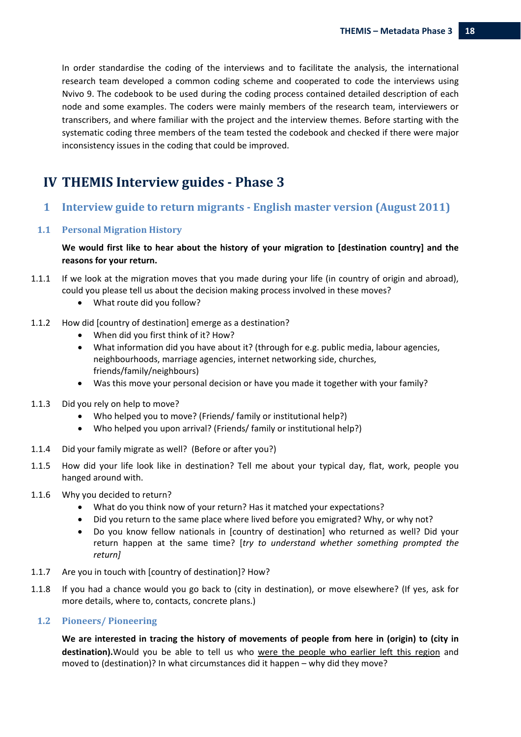In order standardise the coding of the interviews and to facilitate the analysis, the international research team developed a common coding scheme and cooperated to code the interviews using Nvivo 9. The codebook to be used during the coding process contained detailed description of each node and some examples. The coders were mainly members of the research team, interviewers or transcribers, and where familiar with the project and the interview themes. Before starting with the systematic coding three members of the team tested the codebook and checked if there were major inconsistency issues in the coding that could be improved.

## **IV THEMIS Interview guides ‐ Phase 3**

**1 Interview guide to return migrants ‐ English master version (August 2011)**

#### **1.1 Personal Migration History**

#### **We would first like to hear about the history of your migration to [destination country] and the reasons for your return.**

- 1.1.1 If we look at the migration moves that you made during your life (in country of origin and abroad), could you please tell us about the decision making process involved in these moves?
	- What route did you follow?
- 1.1.2 How did [country of destination] emerge as a destination?
	- When did you first think of it? How?
	- What information did you have about it? (through for e.g. public media, labour agencies, neighbourhoods, marriage agencies, internet networking side, churches, friends/family/neighbours)
	- Was this move your personal decision or have you made it together with your family?
- 1.1.3 Did you rely on help to move?
	- Who helped you to move? (Friends/ family or institutional help?)
	- Who helped you upon arrival? (Friends/ family or institutional help?)
- 1.1.4 Did your family migrate as well? (Before or after you?)
- 1.1.5 How did your life look like in destination? Tell me about your typical day, flat, work, people you hanged around with.
- 1.1.6 Why you decided to return?
	- What do you think now of your return? Has it matched your expectations?
	- Did you return to the same place where lived before you emigrated? Why, or why not?
	- Do you know fellow nationals in [country of destination] who returned as well? Did your return happen at the same time? [*try to understand whether something prompted the return]*
- 1.1.7 Are you in touch with [country of destination]? How?
- 1.1.8 If you had a chance would you go back to (city in destination), or move elsewhere? (If yes, ask for more details, where to, contacts, concrete plans.)

#### **1.2 Pioneers/ Pioneering**

**We are interested in tracing the history of movements of people from here in (origin) to (city in destination).**Would you be able to tell us who were the people who earlier left this region and moved to (destination)? In what circumstances did it happen – why did they move?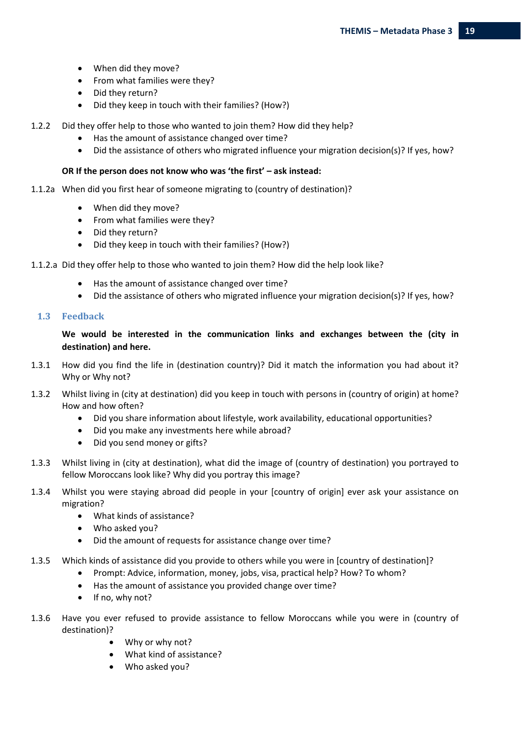- When did they move?
- From what families were they?
- Did they return?
- Did they keep in touch with their families? (How?)
- 1.2.2 Did they offer help to those who wanted to join them? How did they help?
	- Has the amount of assistance changed over time?
	- Did the assistance of others who migrated influence your migration decision(s)? If yes, how?

#### **OR If the person does not know who was 'the first' – ask instead:**

- 1.1.2a When did you first hear of someone migrating to (country of destination)?
	- When did they move?
	- From what families were they?
	- Did they return?
	- Did they keep in touch with their families? (How?)
- 1.1.2.a Did they offer help to those who wanted to join them? How did the help look like?
	- Has the amount of assistance changed over time?
	- Did the assistance of others who migrated influence your migration decision(s)? If yes, how?

#### **1.3 Feedback**

#### **We would be interested in the communication links and exchanges between the (city in destination) and here.**

- 1.3.1 How did you find the life in (destination country)? Did it match the information you had about it? Why or Why not?
- 1.3.2 Whilst living in (city at destination) did you keep in touch with persons in (country of origin) at home? How and how often?
	- Did you share information about lifestyle, work availability, educational opportunities?
	- Did you make any investments here while abroad?
	- Did you send money or gifts?
- 1.3.3 Whilst living in (city at destination), what did the image of (country of destination) you portrayed to fellow Moroccans look like? Why did you portray this image?
- 1.3.4 Whilst you were staying abroad did people in your [country of origin] ever ask your assistance on migration?
	- What kinds of assistance?
	- Who asked you?
	- Did the amount of requests for assistance change over time?
- 1.3.5 Which kinds of assistance did you provide to others while you were in [country of destination]?
	- Prompt: Advice, information, money, jobs, visa, practical help? How? To whom?
	- Has the amount of assistance you provided change over time?
	- If no, why not?
- 1.3.6 Have you ever refused to provide assistance to fellow Moroccans while you were in (country of destination)?
	- Why or why not?
	- What kind of assistance?
	- Who asked you?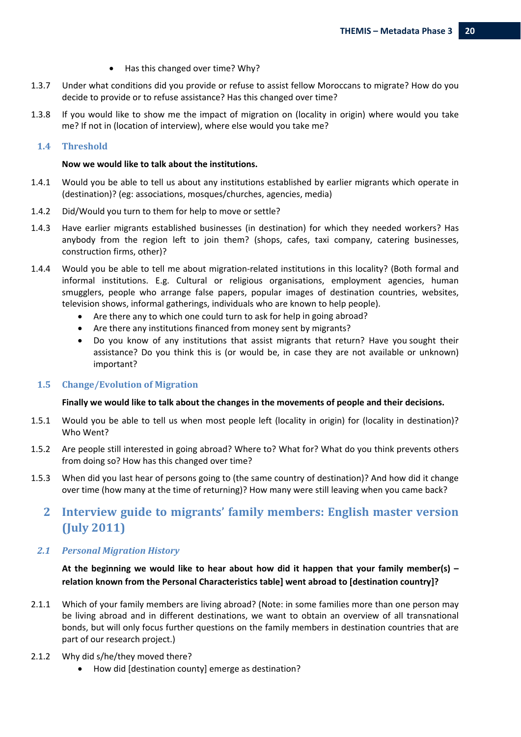- Has this changed over time? Why?
- 1.3.7 Under what conditions did you provide or refuse to assist fellow Moroccans to migrate? How do you decide to provide or to refuse assistance? Has this changed over time?
- 1.3.8 If you would like to show me the impact of migration on (locality in origin) where would you take me? If not in (location of interview), where else would you take me?

#### **1.4 Threshold**

#### **Now we would like to talk about the institutions.**

- 1.4.1 Would you be able to tell us about any institutions established by earlier migrants which operate in (destination)? (eg: associations, mosques/churches, agencies, media)
- 1.4.2 Did/Would you turn to them for help to move or settle?
- 1.4.3 Have earlier migrants established businesses (in destination) for which they needed workers? Has anybody from the region left to join them? (shops, cafes, taxi company, catering businesses, construction firms, other)?
- 1.4.4 Would you be able to tell me about migration‐related institutions in this locality? (Both formal and informal institutions. E.g. Cultural or religious organisations, employment agencies, human smugglers, people who arrange false papers, popular images of destination countries, websites, television shows, informal gatherings, individuals who are known to help people).
	- Are there any to which one could turn to ask for help in going abroad?
	- Are there any institutions financed from money sent by migrants?
	- Do you know of any institutions that assist migrants that return? Have you sought their assistance? Do you think this is (or would be, in case they are not available or unknown) important?

#### **1.5 Change/Evolution of Migration**

#### **Finally we would like to talk about the changes in the movements of people and their decisions.**

- 1.5.1 Would you be able to tell us when most people left (locality in origin) for (locality in destination)? Who Went?
- 1.5.2 Are people still interested in going abroad? Where to? What for? What do you think prevents others from doing so? How has this changed over time?
- 1.5.3 When did you last hear of persons going to (the same country of destination)? And how did it change over time (how many at the time of returning)? How many were still leaving when you came back?

## **2 Interview guide to migrants' family members: English master version (July 2011)**

#### *2.1 Personal Migration History*

**At the beginning we would like to hear about how did it happen that your family member(s) – relation known from the Personal Characteristics table] went abroad to [destination country]?** 

- 2.1.1 Which of your family members are living abroad? (Note: in some families more than one person may be living abroad and in different destinations, we want to obtain an overview of all transnational bonds, but will only focus further questions on the family members in destination countries that are part of our research project.)
- 2.1.2 Why did s/he/they moved there?
	- How did [destination county] emerge as destination?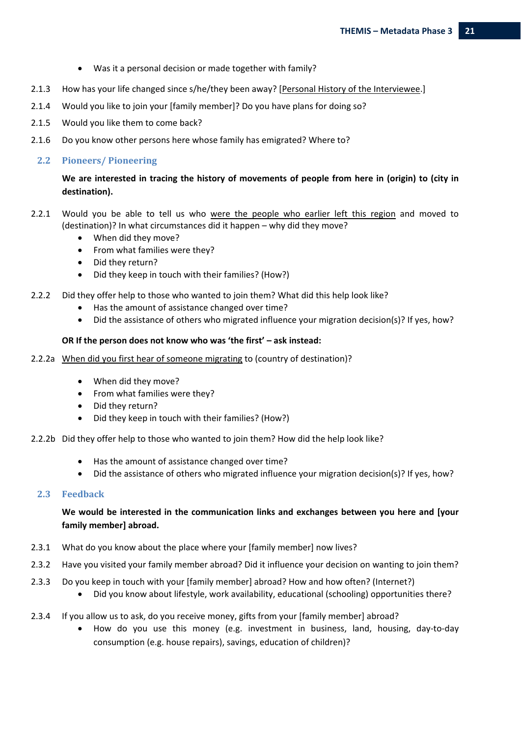- Was it a personal decision or made together with family?
- 2.1.3 How has your life changed since s/he/they been away? [Personal History of the Interviewee.]
- 2.1.4 Would you like to join your [family member]? Do you have plans for doing so?
- 2.1.5 Would you like them to come back?
- 2.1.6 Do you know other persons here whose family has emigrated? Where to?

#### **2.2 Pioneers/ Pioneering**

#### **We are interested in tracing the history of movements of people from here in (origin) to (city in destination).**

- 2.2.1 Would you be able to tell us who were the people who earlier left this region and moved to (destination)? In what circumstances did it happen – why did they move?
	- When did they move?
	- From what families were they?
	- Did they return?
	- Did they keep in touch with their families? (How?)
- 2.2.2 Did they offer help to those who wanted to join them? What did this help look like?
	- Has the amount of assistance changed over time?
	- Did the assistance of others who migrated influence your migration decision(s)? If yes, how?

#### **OR If the person does not know who was 'the first' – ask instead:**

- 2.2.2a When did you first hear of someone migrating to (country of destination)?
	- When did they move?
	- From what families were they?
	- Did they return?
	- Did they keep in touch with their families? (How?)

#### 2.2.2b Did they offer help to those who wanted to join them? How did the help look like?

- Has the amount of assistance changed over time?
- Did the assistance of others who migrated influence your migration decision(s)? If yes, how?

#### **2.3 Feedback**

#### **We would be interested in the communication links and exchanges between you here and [your family member] abroad.**

- 2.3.1 What do you know about the place where your [family member] now lives?
- 2.3.2 Have you visited your family member abroad? Did it influence your decision on wanting to join them?
- 2.3.3 Do you keep in touch with your [family member] abroad? How and how often? (Internet?)
	- Did you know about lifestyle, work availability, educational (schooling) opportunities there?
- 2.3.4 If you allow us to ask, do you receive money, gifts from your [family member] abroad?
	- How do you use this money (e.g. investment in business, land, housing, day‐to‐day consumption (e.g. house repairs), savings, education of children)?